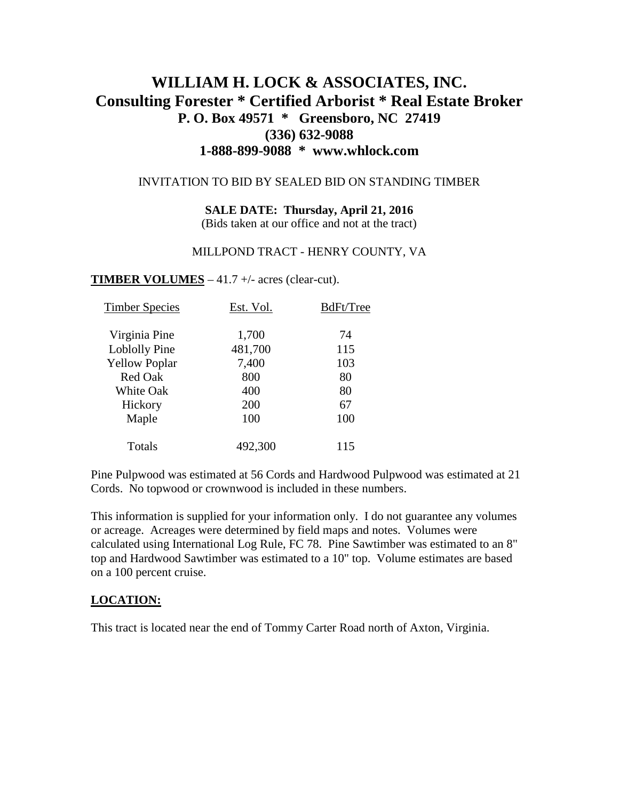# **WILLIAM H. LOCK & ASSOCIATES, INC. Consulting Forester \* Certified Arborist \* Real Estate Broker P. O. Box 49571 \* Greensboro, NC 27419 (336) 632-9088 1-888-899-9088 \* www.whlock.com**

#### INVITATION TO BID BY SEALED BID ON STANDING TIMBER

**SALE DATE: Thursday, April 21, 2016**

(Bids taken at our office and not at the tract)

#### MILLPOND TRACT - HENRY COUNTY, VA

**TIMBER VOLUMES** – 41.7 +/- acres (clear-cut).

| <b>Timber Species</b> | Est. Vol. | BdFt/Tree |
|-----------------------|-----------|-----------|
| Virginia Pine         | 1,700     | 74        |
| Loblolly Pine         | 481,700   | 115       |
| <b>Yellow Poplar</b>  | 7,400     | 103       |
| <b>Red Oak</b>        | 800       | 80        |
| White Oak             | 400       | 80        |
| Hickory               | 200       | 67        |
| Maple                 | 100       | 100       |
| Totals                | 492,300   | 115       |

Pine Pulpwood was estimated at 56 Cords and Hardwood Pulpwood was estimated at 21 Cords. No topwood or crownwood is included in these numbers.

This information is supplied for your information only. I do not guarantee any volumes or acreage. Acreages were determined by field maps and notes. Volumes were calculated using International Log Rule, FC 78. Pine Sawtimber was estimated to an 8" top and Hardwood Sawtimber was estimated to a 10" top. Volume estimates are based on a 100 percent cruise.

### **LOCATION:**

This tract is located near the end of Tommy Carter Road north of Axton, Virginia.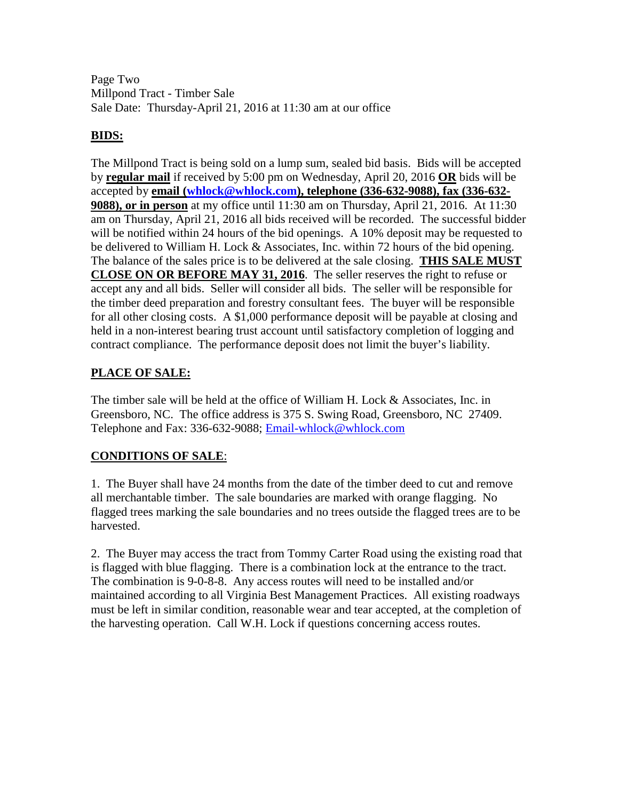Page Two Millpond Tract - Timber Sale Sale Date: Thursday-April 21, 2016 at 11:30 am at our office

## **BIDS:**

The Millpond Tract is being sold on a lump sum, sealed bid basis. Bids will be accepted by **regular mail** if received by 5:00 pm on Wednesday, April 20, 2016 **OR** bids will be accepted by **email [\(whlock@whlock.com\)](mailto:whlock@whlock.com), telephone (336-632-9088), fax (336-632- 9088), or in person** at my office until 11:30 am on Thursday, April 21, 2016. At 11:30 am on Thursday, April 21, 2016 all bids received will be recorded. The successful bidder will be notified within 24 hours of the bid openings. A 10% deposit may be requested to be delivered to William H. Lock & Associates, Inc. within 72 hours of the bid opening. The balance of the sales price is to be delivered at the sale closing. **THIS SALE MUST CLOSE ON OR BEFORE MAY 31, 2016**. The seller reserves the right to refuse or accept any and all bids. Seller will consider all bids. The seller will be responsible for the timber deed preparation and forestry consultant fees. The buyer will be responsible for all other closing costs. A \$1,000 performance deposit will be payable at closing and held in a non-interest bearing trust account until satisfactory completion of logging and contract compliance. The performance deposit does not limit the buyer's liability.

## **PLACE OF SALE:**

The timber sale will be held at the office of William H. Lock & Associates, Inc. in Greensboro, NC. The office address is 375 S. Swing Road, Greensboro, NC 27409. Telephone and Fax: 336-632-9088; [Email-whlock@whlock.com](mailto:Email-whlock@whlock.com)

## **CONDITIONS OF SALE**:

1. The Buyer shall have 24 months from the date of the timber deed to cut and remove all merchantable timber. The sale boundaries are marked with orange flagging. No flagged trees marking the sale boundaries and no trees outside the flagged trees are to be harvested.

2. The Buyer may access the tract from Tommy Carter Road using the existing road that is flagged with blue flagging. There is a combination lock at the entrance to the tract. The combination is 9-0-8-8. Any access routes will need to be installed and/or maintained according to all Virginia Best Management Practices. All existing roadways must be left in similar condition, reasonable wear and tear accepted, at the completion of the harvesting operation. Call W.H. Lock if questions concerning access routes.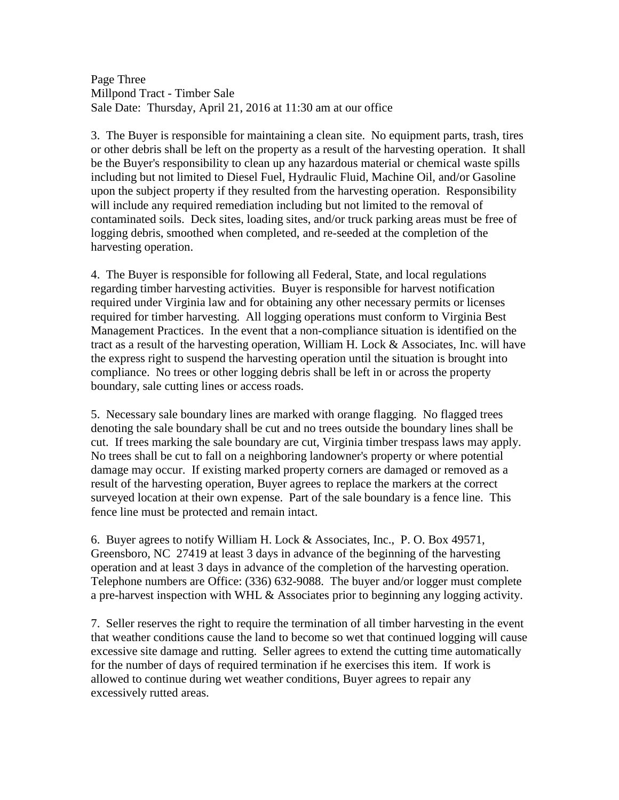Page Three Millpond Tract - Timber Sale Sale Date: Thursday, April 21, 2016 at 11:30 am at our office

3. The Buyer is responsible for maintaining a clean site. No equipment parts, trash, tires or other debris shall be left on the property as a result of the harvesting operation. It shall be the Buyer's responsibility to clean up any hazardous material or chemical waste spills including but not limited to Diesel Fuel, Hydraulic Fluid, Machine Oil, and/or Gasoline upon the subject property if they resulted from the harvesting operation. Responsibility will include any required remediation including but not limited to the removal of contaminated soils. Deck sites, loading sites, and/or truck parking areas must be free of logging debris, smoothed when completed, and re-seeded at the completion of the harvesting operation.

4. The Buyer is responsible for following all Federal, State, and local regulations regarding timber harvesting activities. Buyer is responsible for harvest notification required under Virginia law and for obtaining any other necessary permits or licenses required for timber harvesting. All logging operations must conform to Virginia Best Management Practices. In the event that a non-compliance situation is identified on the tract as a result of the harvesting operation, William H. Lock & Associates, Inc. will have the express right to suspend the harvesting operation until the situation is brought into compliance. No trees or other logging debris shall be left in or across the property boundary, sale cutting lines or access roads.

5. Necessary sale boundary lines are marked with orange flagging. No flagged trees denoting the sale boundary shall be cut and no trees outside the boundary lines shall be cut. If trees marking the sale boundary are cut, Virginia timber trespass laws may apply. No trees shall be cut to fall on a neighboring landowner's property or where potential damage may occur. If existing marked property corners are damaged or removed as a result of the harvesting operation, Buyer agrees to replace the markers at the correct surveyed location at their own expense. Part of the sale boundary is a fence line. This fence line must be protected and remain intact.

6. Buyer agrees to notify William H. Lock & Associates, Inc., P. O. Box 49571, Greensboro, NC 27419 at least 3 days in advance of the beginning of the harvesting operation and at least 3 days in advance of the completion of the harvesting operation. Telephone numbers are Office: (336) 632-9088. The buyer and/or logger must complete a pre-harvest inspection with WHL & Associates prior to beginning any logging activity.

7. Seller reserves the right to require the termination of all timber harvesting in the event that weather conditions cause the land to become so wet that continued logging will cause excessive site damage and rutting. Seller agrees to extend the cutting time automatically for the number of days of required termination if he exercises this item. If work is allowed to continue during wet weather conditions, Buyer agrees to repair any excessively rutted areas.